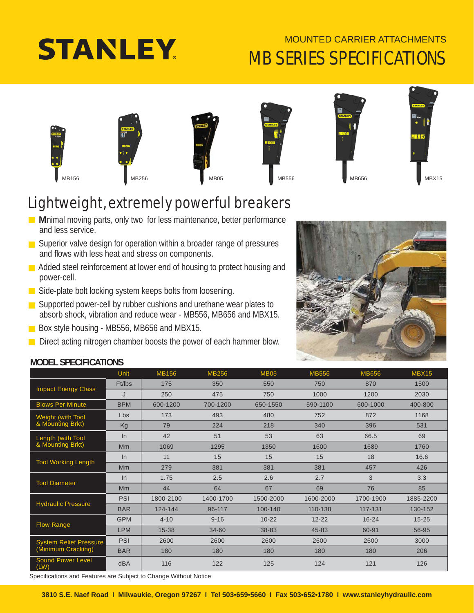# **STANLEY**

### MOUNTED CARRIER ATTACHMENTS MB SERIES SPECIFICATIONS









### Lightweight, extremely powerful breakers

**Minimal moving parts, only two for less maintenance, better performance** and less service.

- Superior valve design for operation within a broader range of pressures and flows with less heat and stress on components.
- Added steel reinforcement at lower end of housing to protect housing and power-cell.
- Side-plate bolt locking system keeps bolts from loosening.
- Supported power-cell by rubber cushions and urethane wear plates to absorb shock, vibration and reduce wear - MB556, MB656 and MBX15.

Box style housing - MB556, MB656 and MBX15.

Direct acting nitrogen chamber boosts the power of each hammer blow.

### **MODEL SPECIFICATIONS**

|                                                     | <b>Unit</b> | <b>MB156</b> | <b>MB256</b> | <b>MB05</b> | <b>MB556</b> | <b>MB656</b> | MBX15     |
|-----------------------------------------------------|-------------|--------------|--------------|-------------|--------------|--------------|-----------|
| <b>Impact Energy Class</b>                          | Ft/lbs      | 175          | 350          | 550         | 750          | 870          | 1500      |
|                                                     | J           | 250          | 475          | 750         | 1000         | 1200         | 2030      |
| <b>Blows Per Minute</b>                             | <b>BPM</b>  | 600-1200     | 700-1200     | 650-1550    | 590-1100     | 600-1000     | 400-800   |
| Weight (with Tool                                   | <b>Lbs</b>  | 173          | 493          | 480         | 752          | 872          | 1168      |
| & Mounting Brkt)                                    | Kg          | 79           | 224          | 218         | 340          | 396          | 531       |
| Length (with Tool                                   | In          | 42           | 51           | 53          | 63           | 66.5         | 69        |
| & Mounting Brkt)                                    | <b>Mm</b>   | 1069         | 1295         | 1350        | 1600         | 1689         | 1760      |
|                                                     | $\ln$       | 11           | 15           | 15          | 15           | 18           | 16.6      |
| <b>Tool Working Length</b>                          | <b>Mm</b>   | 279          | 381          | 381         | 381          | 457          | 426       |
| <b>Tool Diameter</b>                                | In          | 1.75         | 2.5          | 2.6         | 2.7          | 3            | 3.3       |
|                                                     | Mm          | 44           | 64           | 67          | 69           | 76           | 85        |
| <b>Hydraulic Pressure</b>                           | <b>PSI</b>  | 1800-2100    | 1400-1700    | 1500-2000   | 1600-2000    | 1700-1900    | 1885-2200 |
|                                                     | <b>BAR</b>  | 124-144      | 96-117       | 100-140     | 110-138      | 117-131      | 130-152   |
| <b>Flow Range</b>                                   | <b>GPM</b>  | $4 - 10$     | $9 - 16$     | $10 - 22$   | $12 - 22$    | $16 - 24$    | $15 - 25$ |
|                                                     | <b>LPM</b>  | $15 - 38$    | 34-60        | 38-83       | 45-83        | 60-91        | 56-95     |
| <b>System Relief Pressure</b><br>(Minimum Cracking) | <b>PSI</b>  | 2600         | 2600         | 2600        | 2600         | 2600         | 3000      |
|                                                     | <b>BAR</b>  | 180          | 180          | 180         | 180          | 180          | 206       |
| <b>Sound Power Level</b><br>(LW)                    | dBA         | 116          | 122          | 125         | 124          | 121          | 126       |

Specifications and Features are Subject to Change Without Notice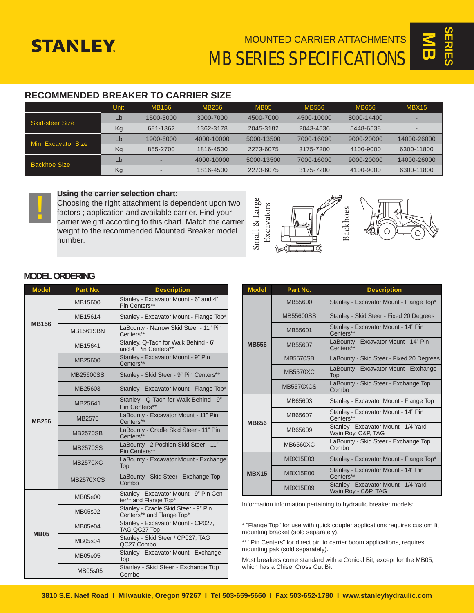## **STANLEY**

MOUNTED CARRIER ATTACHMENTS

 $\overline{\mathbf{S}}$ **SERIES**

MB SERIES SPECIFICATIONS

#### **RECOMMENDED BREAKER TO CARRIER SIZE**

|                        | Unit | MB156     | MB256      | <b>MB05</b> | MB556      | MB656      | <b>MBX15</b> |
|------------------------|------|-----------|------------|-------------|------------|------------|--------------|
| <b>Skid-steer Size</b> | Lb   | 1500-3000 | 3000-7000  | 4500-7000   | 4500-10000 | 8000-14400 |              |
|                        | Kg   | 681-1362  | 1362-3178  | 2045-3182   | 2043-4536  | 5448-6538  |              |
| Mini Excavator Size    | Lb   | 1900-6000 | 4000-10000 | 5000-13500  | 7000-16000 | 9000-20000 | 14000-26000  |
|                        | Kg   | 855-2700  | 1816-4500  | 2273-6075   | 3175-7200  | 4100-9000  | 6300-11800   |
| Backhoe Size           | Lb   | -         | 4000-10000 | 5000-13500  | 7000-16000 | 9000-20000 | 14000-26000  |
|                        | Kg   |           | 1816-4500  | 2273-6075   | 3175-7200  | 4100-9000  | 6300-11800   |



#### **Using the carrier selection chart:**

Choosing the right attachment is dependent upon two factors ; application and available carrier. Find your carrier weight according to this chart. Match the carrier weight to the recommended Mounted Breaker model number.





#### **MODEL ORDERING**

| <b>Model</b> | Part No.         | <b>Description</b>                                                |  |  |  |
|--------------|------------------|-------------------------------------------------------------------|--|--|--|
| <b>MB156</b> | MB15600          | Stanley - Excavator Mount - 6" and 4"<br>Pin Centers**            |  |  |  |
|              | MB15614          | Stanley - Excavator Mount - Flange Top*                           |  |  |  |
|              | <b>MB1561SBN</b> | LaBounty - Narrow Skid Steer - 11" Pin<br>Centers**               |  |  |  |
|              | MB15641          | Stanley, Q-Tach for Walk Behind - 6"<br>and 4" Pin Centers**      |  |  |  |
|              | MB25600          | Stanley - Excavator Mount - 9" Pin<br>Centers**                   |  |  |  |
|              | MB25600SS        | Stanley - Skid Steer - 9" Pin Centers**                           |  |  |  |
| <b>MB256</b> | MB25603          | Stanley - Excavator Mount - Flange Top*                           |  |  |  |
|              | MB25641          | Stanley - Q-Tach for Walk Behind - 9"<br>Pin Centers**            |  |  |  |
|              | MB2570           | LaBounty - Excavator Mount - 11" Pin<br>Centers**                 |  |  |  |
|              | <b>MB2570SB</b>  | LaBounty - Cradle Skid Steer - 11" Pin<br>Centers**               |  |  |  |
|              | <b>MB2570SS</b>  | LaBounty - 2 Position Skid Steer - 11"<br>Pin Centers**           |  |  |  |
|              | <b>MB2570XC</b>  | LaBounty - Excavator Mount - Exchange<br>Top                      |  |  |  |
|              | <b>MB2570XCS</b> | LaBounty - Skid Steer - Exchange Top<br>Combo                     |  |  |  |
| <b>MB05</b>  | MB05e00          | Stanley - Excavator Mount - 9" Pin Cen-<br>ter** and Flange Top*  |  |  |  |
|              | MB05s02          | Stanley - Cradle Skid Steer - 9" Pin<br>Centers** and Flange Top* |  |  |  |
|              | MB05e04          | Stanley - Excavator Mount - CP027,<br>TAG QC27 Top                |  |  |  |
|              | MB05s04          | Stanley - Skid Steer / CP027, TAG<br>QC27 Combo                   |  |  |  |
|              | MB05e05          | Stanley - Excavator Mount - Exchange<br>Top                       |  |  |  |
|              | MB05s05          | Stanley - Skid Steer - Exchange Top<br>Combo                      |  |  |  |

| <b>Model</b> | Part No.         | <b>Description</b>                                          |  |  |  |
|--------------|------------------|-------------------------------------------------------------|--|--|--|
| <b>MB556</b> | MB55600          | Stanley - Excavator Mount - Flange Top*                     |  |  |  |
|              | MB55600SS        | Stanley - Skid Steer - Fixed 20 Degrees                     |  |  |  |
|              | MB55601          | Stanley - Excavator Mount - 14" Pin<br>Centers**            |  |  |  |
|              | MB55607          | LaBounty - Excavator Mount - 14" Pin<br>Centers**           |  |  |  |
|              | <b>MB5570SB</b>  | LaBounty - Skid Steer - Fixed 20 Degrees                    |  |  |  |
|              | <b>MB5570XC</b>  | LaBounty - Excavator Mount - Exchange<br><b>Top</b>         |  |  |  |
|              | <b>MB5570XCS</b> | LaBounty - Skid Steer - Exchange Top<br>Combo               |  |  |  |
| <b>MB656</b> | MB65603          | Stanley - Excavator Mount - Flange Top                      |  |  |  |
|              | MB65607          | Stanley - Excavator Mount - 14" Pin<br>Centers**            |  |  |  |
|              | MB65609          | Stanley - Excavator Mount - 1/4 Yard<br>Wain Roy, C&P, TAG  |  |  |  |
|              | <b>MB6560XC</b>  | LaBounty - Skid Steer - Exchange Top<br>Combo               |  |  |  |
| <b>MBX15</b> | <b>MBX15E03</b>  | Stanley - Excavator Mount - Flange Top*                     |  |  |  |
|              | <b>MBX15E00</b>  | Stanley - Excavator Mount - 14" Pin<br>Centers**            |  |  |  |
|              | MBX15E09         | Stanley - Excavator Mount - 1/4 Yard<br>Wain Roy - C&P, TAG |  |  |  |

Information information pertaining to hydraulic breaker models:

\* "Flange Top" for use with quick coupler applications requires custom fi t mounting bracket (sold separately).

\*\* "Pin Centers" for direct pin to carrier boom applications, requires mounting pak (sold separately).

Most breakers come standard with a Conical Bit, except for the MB05, which has a Chisel Cross Cut Bit